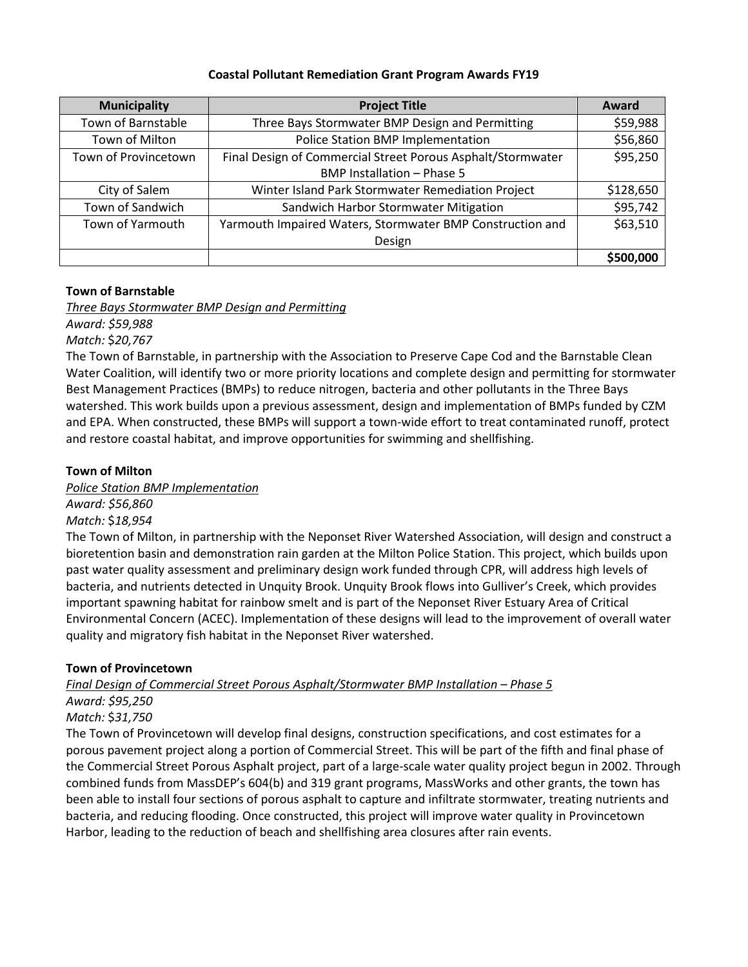#### **Coastal Pollutant Remediation Grant Program Awards FY19**

| <b>Municipality</b>  | <b>Project Title</b>                                        | Award     |
|----------------------|-------------------------------------------------------------|-----------|
| Town of Barnstable   | Three Bays Stormwater BMP Design and Permitting             | \$59,988  |
| Town of Milton       | Police Station BMP Implementation                           | \$56,860  |
| Town of Provincetown | Final Design of Commercial Street Porous Asphalt/Stormwater | \$95,250  |
|                      | BMP Installation - Phase 5                                  |           |
| City of Salem        | Winter Island Park Stormwater Remediation Project           | \$128,650 |
| Town of Sandwich     | Sandwich Harbor Stormwater Mitigation                       | \$95,742  |
| Town of Yarmouth     | Yarmouth Impaired Waters, Stormwater BMP Construction and   | \$63,510  |
|                      | Design                                                      |           |
|                      |                                                             | \$500,000 |

## **Town of Barnstable**

*Three Bays Stormwater BMP Design and Permitting*

*Award: \$59,988*

*Match:* \$*20,767*

The Town of Barnstable, in partnership with the Association to Preserve Cape Cod and the Barnstable Clean Water Coalition, will identify two or more priority locations and complete design and permitting for stormwater Best Management Practices (BMPs) to reduce nitrogen, bacteria and other pollutants in the Three Bays watershed. This work builds upon a previous assessment, design and implementation of BMPs funded by CZM and EPA. When constructed, these BMPs will support a town-wide effort to treat contaminated runoff, protect and restore coastal habitat, and improve opportunities for swimming and shellfishing.

## **Town of Milton**

*Police Station BMP Implementation*

*Award: \$56,860*

*Match:* \$*18,954*

The Town of Milton, in partnership with the Neponset River Watershed Association, will design and construct a bioretention basin and demonstration rain garden at the Milton Police Station. This project, which builds upon past water quality assessment and preliminary design work funded through CPR, will address high levels of bacteria, and nutrients detected in Unquity Brook. Unquity Brook flows into Gulliver's Creek, which provides important spawning habitat for rainbow smelt and is part of the Neponset River Estuary Area of Critical Environmental Concern (ACEC). Implementation of these designs will lead to the improvement of overall water quality and migratory fish habitat in the Neponset River watershed.

## **Town of Provincetown**

*Final Design of Commercial Street Porous Asphalt/Stormwater BMP Installation – Phase 5*

*Award: \$95,250 Match:* \$*31,750*

The Town of Provincetown will develop final designs, construction specifications, and cost estimates for a porous pavement project along a portion of Commercial Street. This will be part of the fifth and final phase of the Commercial Street Porous Asphalt project, part of a large-scale water quality project begun in 2002. Through combined funds from MassDEP's 604(b) and 319 grant programs, MassWorks and other grants, the town has been able to install four sections of porous asphalt to capture and infiltrate stormwater, treating nutrients and bacteria, and reducing flooding. Once constructed, this project will improve water quality in Provincetown Harbor, leading to the reduction of beach and shellfishing area closures after rain events.